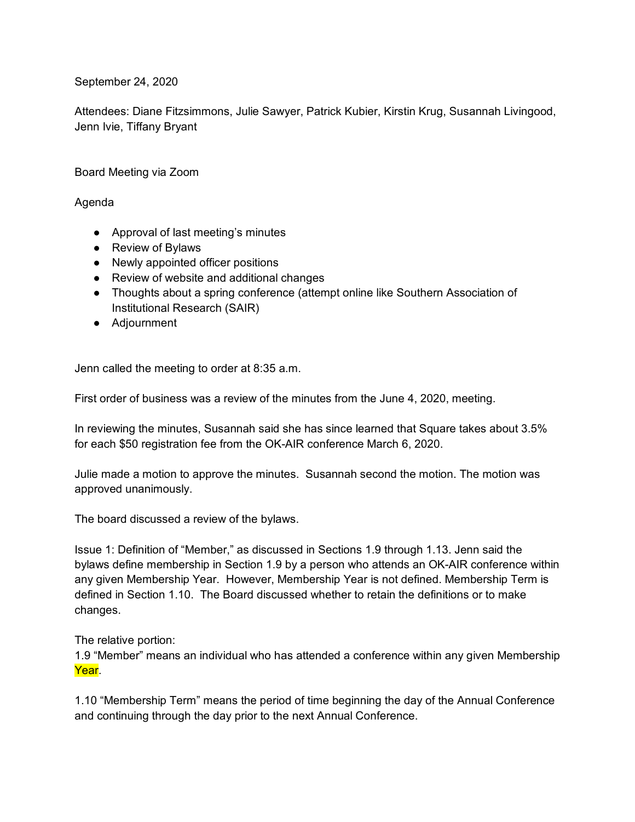September 24, 2020

Attendees: Diane Fitzsimmons, Julie Sawyer, Patrick Kubier, Kirstin Krug, Susannah Livingood, Jenn Ivie, Tiffany Bryant

Board Meeting via Zoom

## Agenda

- Approval of last meeting's minutes
- Review of Bylaws
- Newly appointed officer positions
- Review of website and additional changes
- Thoughts about a spring conference (attempt online like Southern Association of Institutional Research (SAIR)
- Adjournment

Jenn called the meeting to order at 8:35 a.m.

First order of business was a review of the minutes from the June 4, 2020, meeting.

In reviewing the minutes, Susannah said she has since learned that Square takes about 3.5% for each \$50 registration fee from the OK-AIR conference March 6, 2020.

Julie made a motion to approve the minutes. Susannah second the motion. The motion was approved unanimously.

The board discussed a review of the bylaws.

Issue 1: Definition of "Member," as discussed in Sections 1.9 through 1.13. Jenn said the bylaws define membership in Section 1.9 by a person who attends an OK-AIR conference within any given Membership Year. However, Membership Year is not defined. Membership Term is defined in Section 1.10. The Board discussed whether to retain the definitions or to make changes.

The relative portion:

1.9 "Member" means an individual who has attended a conference within any given Membership Year.

1.10 "Membership Term" means the period of time beginning the day of the Annual Conference and continuing through the day prior to the next Annual Conference.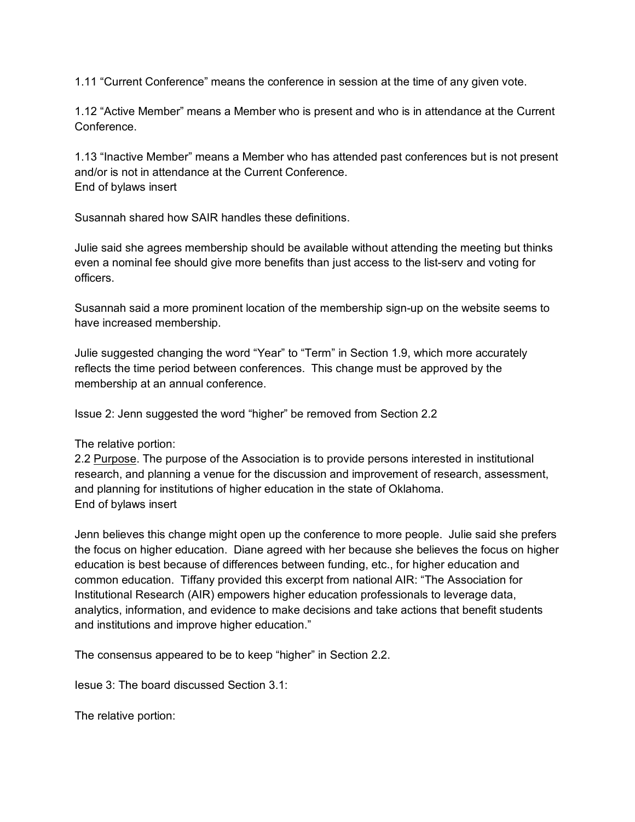1.11 "Current Conference" means the conference in session at the time of any given vote.

1.12 "Active Member" means a Member who is present and who is in attendance at the Current Conference.

1.13 "Inactive Member" means a Member who has attended past conferences but is not present and/or is not in attendance at the Current Conference. End of bylaws insert

Susannah shared how SAIR handles these definitions.

Julie said she agrees membership should be available without attending the meeting but thinks even a nominal fee should give more benefits than just access to the list-serv and voting for officers.

Susannah said a more prominent location of the membership sign-up on the website seems to have increased membership.

Julie suggested changing the word "Year" to "Term" in Section 1.9, which more accurately reflects the time period between conferences. This change must be approved by the membership at an annual conference.

Issue 2: Jenn suggested the word "higher" be removed from Section 2.2

## The relative portion:

2.2 Purpose. The purpose of the Association is to provide persons interested in institutional research, and planning a venue for the discussion and improvement of research, assessment, and planning for institutions of higher education in the state of Oklahoma. End of bylaws insert

Jenn believes this change might open up the conference to more people. Julie said she prefers the focus on higher education. Diane agreed with her because she believes the focus on higher education is best because of differences between funding, etc., for higher education and common education. Tiffany provided this excerpt from national AIR: "The Association for Institutional Research (AIR) empowers higher education professionals to leverage data, analytics, information, and evidence to make decisions and take actions that benefit students and institutions and improve higher education."

The consensus appeared to be to keep "higher" in Section 2.2.

Iesue 3: The board discussed Section 3.1:

The relative portion: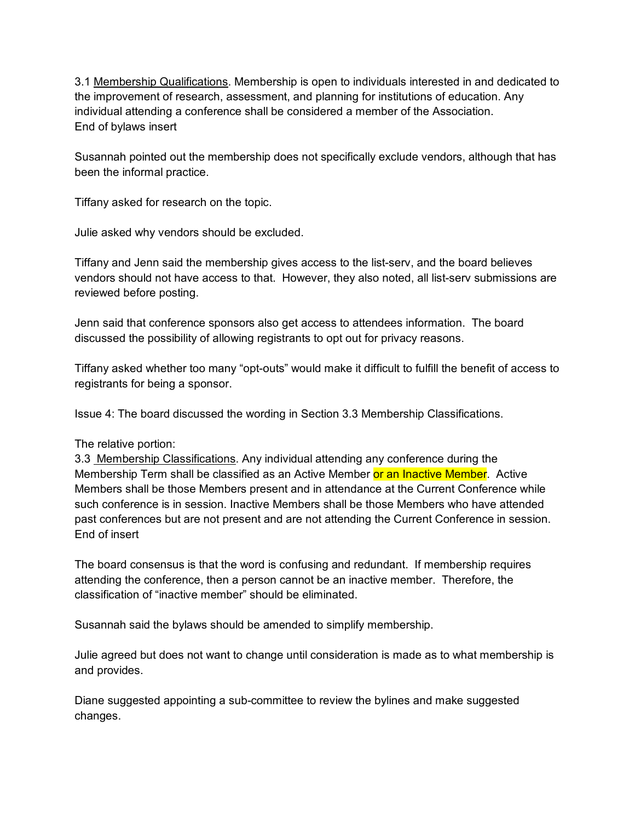3.1 Membership Qualifications. Membership is open to individuals interested in and dedicated to the improvement of research, assessment, and planning for institutions of education. Any individual attending a conference shall be considered a member of the Association. End of bylaws insert

Susannah pointed out the membership does not specifically exclude vendors, although that has been the informal practice.

Tiffany asked for research on the topic.

Julie asked why vendors should be excluded.

Tiffany and Jenn said the membership gives access to the list-serv, and the board believes vendors should not have access to that. However, they also noted, all list-serv submissions are reviewed before posting.

Jenn said that conference sponsors also get access to attendees information. The board discussed the possibility of allowing registrants to opt out for privacy reasons.

Tiffany asked whether too many "opt-outs" would make it difficult to fulfill the benefit of access to registrants for being a sponsor.

Issue 4: The board discussed the wording in Section 3.3 Membership Classifications.

## The relative portion:

3.3 Membership Classifications. Any individual attending any conference during the Membership Term shall be classified as an Active Member or an Inactive Member. Active Members shall be those Members present and in attendance at the Current Conference while such conference is in session. Inactive Members shall be those Members who have attended past conferences but are not present and are not attending the Current Conference in session. End of insert

The board consensus is that the word is confusing and redundant. If membership requires attending the conference, then a person cannot be an inactive member. Therefore, the classification of "inactive member" should be eliminated.

Susannah said the bylaws should be amended to simplify membership.

Julie agreed but does not want to change until consideration is made as to what membership is and provides.

Diane suggested appointing a sub-committee to review the bylines and make suggested changes.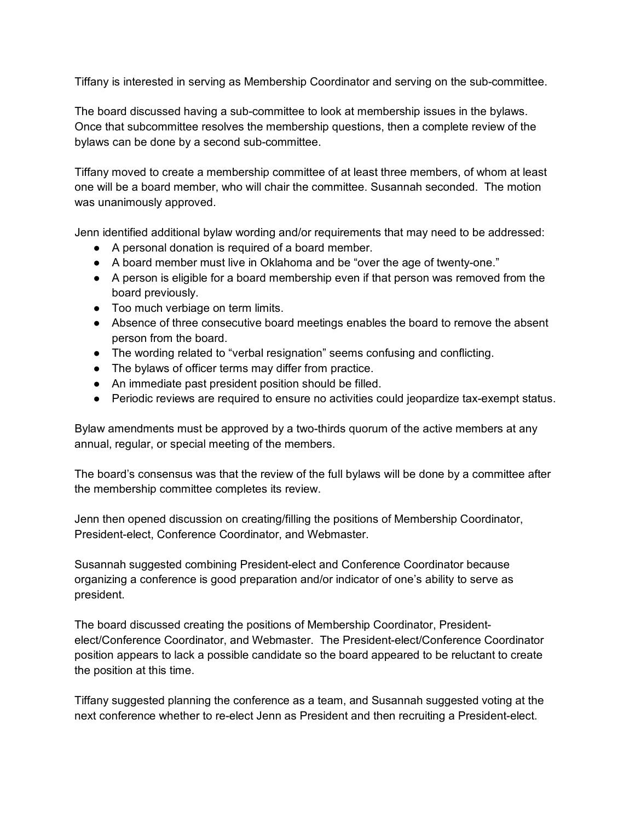Tiffany is interested in serving as Membership Coordinator and serving on the sub-committee.

The board discussed having a sub-committee to look at membership issues in the bylaws. Once that subcommittee resolves the membership questions, then a complete review of the bylaws can be done by a second sub-committee.

Tiffany moved to create a membership committee of at least three members, of whom at least one will be a board member, who will chair the committee. Susannah seconded. The motion was unanimously approved.

Jenn identified additional bylaw wording and/or requirements that may need to be addressed:

- A personal donation is required of a board member.
- A board member must live in Oklahoma and be "over the age of twenty-one."
- A person is eligible for a board membership even if that person was removed from the board previously.
- Too much verbiage on term limits.
- Absence of three consecutive board meetings enables the board to remove the absent person from the board.
- The wording related to "verbal resignation" seems confusing and conflicting.
- The bylaws of officer terms may differ from practice.
- An immediate past president position should be filled.
- Periodic reviews are required to ensure no activities could jeopardize tax-exempt status.

Bylaw amendments must be approved by a two-thirds quorum of the active members at any annual, regular, or special meeting of the members.

The board's consensus was that the review of the full bylaws will be done by a committee after the membership committee completes its review.

Jenn then opened discussion on creating/filling the positions of Membership Coordinator, President-elect, Conference Coordinator, and Webmaster.

Susannah suggested combining President-elect and Conference Coordinator because organizing a conference is good preparation and/or indicator of one's ability to serve as president.

The board discussed creating the positions of Membership Coordinator, Presidentelect/Conference Coordinator, and Webmaster. The President-elect/Conference Coordinator position appears to lack a possible candidate so the board appeared to be reluctant to create the position at this time.

Tiffany suggested planning the conference as a team, and Susannah suggested voting at the next conference whether to re-elect Jenn as President and then recruiting a President-elect.